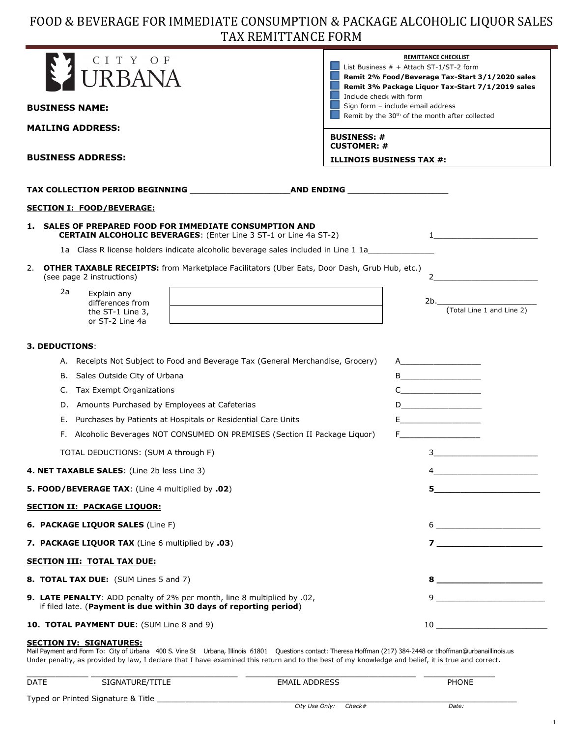# FOOD & BEVERAGE FOR IMMEDIATE CONSUMPTION & PACKAGE ALCOHOLIC LIQUOR SALES TAX REMITTANCE FORM

| CITY OF<br><b>URBANA</b>                                                                                                                      | <b>REMITTANCE CHECKLIST</b><br>List Business $#$ + Attach ST-1/ST-2 form<br>Remit 2% Food/Beverage Tax-Start 3/1/2020 sales<br>Remit 3% Package Liquor Tax-Start 7/1/2019 sales<br>Include check with form                                                                                                                                                                    |
|-----------------------------------------------------------------------------------------------------------------------------------------------|-------------------------------------------------------------------------------------------------------------------------------------------------------------------------------------------------------------------------------------------------------------------------------------------------------------------------------------------------------------------------------|
| <b>BUSINESS NAME:</b>                                                                                                                         | Sign form - include email address<br>Remit by the 30 <sup>th</sup> of the month after collected                                                                                                                                                                                                                                                                               |
| <b>MAILING ADDRESS:</b>                                                                                                                       | <b>BUSINESS: #</b><br><b>CUSTOMER: #</b>                                                                                                                                                                                                                                                                                                                                      |
| <b>BUSINESS ADDRESS:</b>                                                                                                                      | <b>ILLINOIS BUSINESS TAX #:</b>                                                                                                                                                                                                                                                                                                                                               |
|                                                                                                                                               |                                                                                                                                                                                                                                                                                                                                                                               |
| <b>SECTION I: FOOD/BEVERAGE:</b>                                                                                                              |                                                                                                                                                                                                                                                                                                                                                                               |
| SALES OF PREPARED FOOD FOR IMMEDIATE CONSUMPTION AND<br>1.<br><b>CERTAIN ALCOHOLIC BEVERAGES:</b> (Enter Line 3 ST-1 or Line 4a ST-2)         |                                                                                                                                                                                                                                                                                                                                                                               |
| 1a Class R license holders indicate alcoholic beverage sales included in Line 1 1a                                                            |                                                                                                                                                                                                                                                                                                                                                                               |
| 2. OTHER TAXABLE RECEIPTS: from Marketplace Facilitators (Uber Eats, Door Dash, Grub Hub, etc.)<br>(see page 2 instructions)                  | $\overline{2}$                                                                                                                                                                                                                                                                                                                                                                |
| 2a<br>Explain any<br>differences from<br>the ST-1 Line 3,<br>or ST-2 Line 4a                                                                  | 2b.<br>(Total Line 1 and Line 2)                                                                                                                                                                                                                                                                                                                                              |
| <b>3. DEDUCTIONS:</b>                                                                                                                         |                                                                                                                                                                                                                                                                                                                                                                               |
| A. Receipts Not Subject to Food and Beverage Tax (General Merchandise, Grocery)                                                               | $\overline{A}$                                                                                                                                                                                                                                                                                                                                                                |
| B. Sales Outside City of Urbana<br>Tax Exempt Organizations<br>C.                                                                             | B<br>$C \qquad \qquad \overbrace{ \qquad \qquad \qquad }$                                                                                                                                                                                                                                                                                                                     |
| Amounts Purchased by Employees at Cafeterias<br>D.                                                                                            | $D \underline{\hspace{2cm}}$                                                                                                                                                                                                                                                                                                                                                  |
| Purchases by Patients at Hospitals or Residential Care Units<br>Е.                                                                            | E_________________________                                                                                                                                                                                                                                                                                                                                                    |
| F. Alcoholic Beverages NOT CONSUMED ON PREMISES (Section II Package Liquor)                                                                   | $F = 1$ and $F = 1$ and $F = 1$                                                                                                                                                                                                                                                                                                                                               |
| TOTAL DEDUCTIONS: (SUM A through F)                                                                                                           | $3 \sim 3$                                                                                                                                                                                                                                                                                                                                                                    |
| 4. NET TAXABLE SALES: (Line 2b less Line 3)                                                                                                   | 4                                                                                                                                                                                                                                                                                                                                                                             |
| 5. FOOD/BEVERAGE TAX: (Line 4 multiplied by .02)                                                                                              | $5$ and $\overline{\phantom{a}5}$ and $\overline{\phantom{a}5}$ and $\overline{\phantom{a}5}$ and $\overline{\phantom{a}5}$ and $\overline{\phantom{a}5}$ and $\overline{\phantom{a}5}$ and $\overline{\phantom{a}5}$ and $\overline{\phantom{a}5}$ and $\overline{\phantom{a}5}$ and $\overline{\phantom{a}1}$ and $\overline{\phantom{a}1}$ and $\overline{\phantom{a}1}$ a |
| <b>SECTION II: PACKAGE LIQUOR:</b>                                                                                                            |                                                                                                                                                                                                                                                                                                                                                                               |
| 6. PACKAGE LIQUOR SALES (Line F)                                                                                                              | $\begin{picture}(20,10) \put(0,0){\vector(1,0){100}} \put(15,0){\vector(1,0){100}} \put(15,0){\vector(1,0){100}} \put(15,0){\vector(1,0){100}} \put(15,0){\vector(1,0){100}} \put(15,0){\vector(1,0){100}} \put(15,0){\vector(1,0){100}} \put(15,0){\vector(1,0){100}} \put(15,0){\vector(1,0){100}} \put(15,0){\vector(1,0){100}} \put(15,0){\vector(1,0){100}} \$           |
| 7. PACKAGE LIQUOR TAX (Line 6 multiplied by .03)                                                                                              |                                                                                                                                                                                                                                                                                                                                                                               |
| <b>SECTION III: TOTAL TAX DUE:</b>                                                                                                            |                                                                                                                                                                                                                                                                                                                                                                               |
| 8. TOTAL TAX DUE: (SUM Lines 5 and 7)                                                                                                         | $\begin{tabular}{c} 8 & \begin{tabular}{@{}c@{}} \end{tabular} \end{tabular}$                                                                                                                                                                                                                                                                                                 |
| 9. LATE PENALTY: ADD penalty of 2% per month, line 8 multiplied by .02,<br>if filed late. (Payment is due within 30 days of reporting period) | $9 \underline{\hspace{1cm}}$                                                                                                                                                                                                                                                                                                                                                  |
| 10. TOTAL PAYMENT DUE: (SUM Line 8 and 9)                                                                                                     |                                                                                                                                                                                                                                                                                                                                                                               |

#### **SECTION IV: SIGNATURES:** Mail Payment and Form To: City of Urbana 400 S. Vine St Urbana, Illinois 61801 Questions contact: Theresa Hoffman (217) 384-2448 or tlhoffman@urbanaillinois.us Under penalty, as provided by law, I declare that I have examined this return and to the best of my knowledge and belief, it is true and correct.

| <b>DATE</b> | SIGNATURE/TITLE                    | <b>EMAIL ADDRESS</b>  | <b>PHONE</b> |
|-------------|------------------------------------|-----------------------|--------------|
|             | Typed or Printed Signature & Title | City Use Only: Check# | Date:        |

1